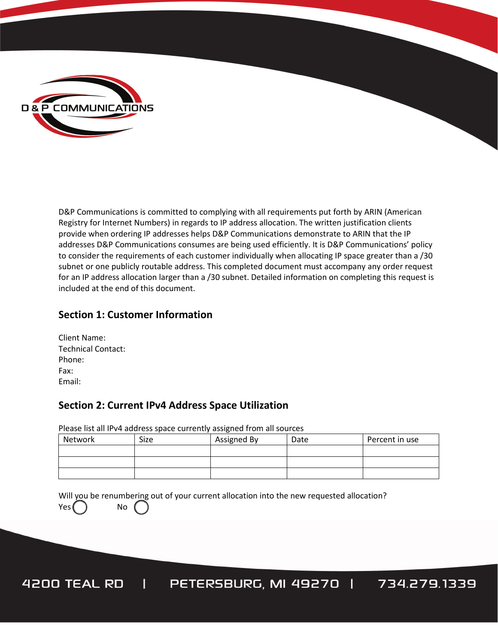

D&P Communications is committed to complying with all requirements put forth by ARIN (American Registry for Internet Numbers) in regards to IP address allocation. The written justification clients provide when ordering IP addresses helps D&P Communications demonstrate to ARIN that the IP addresses D&P Communications consumes are being used efficiently. It is D&P Communications' policy to consider the requirements of each customer individually when allocating IP space greater than a /30 subnet or one publicly routable address. This completed document must accompany any order request for an IP address allocation larger than a /30 subnet. Detailed information on completing this request is included at the end of this document.

### **Section 1: Customer Information**

| Client Name:              |
|---------------------------|
| <b>Technical Contact:</b> |
| Phone:                    |
| Fax:                      |
| Email:                    |

#### **Section 2: Current IPv4 Address Space Utilization**

Please list all IPv4 address space currently assigned from all sources

| Network | Size | Assigned By | Date | Percent in use |
|---------|------|-------------|------|----------------|
|         |      |             |      |                |
|         |      |             |      |                |
|         |      |             |      |                |

Will you be renumbering out of your current allocation into the new requested allocation? Yes ( ) No

PETERSBURG, MI 49270 | 734.279.1339 4200 TEAL RD  $\mathbf{I}$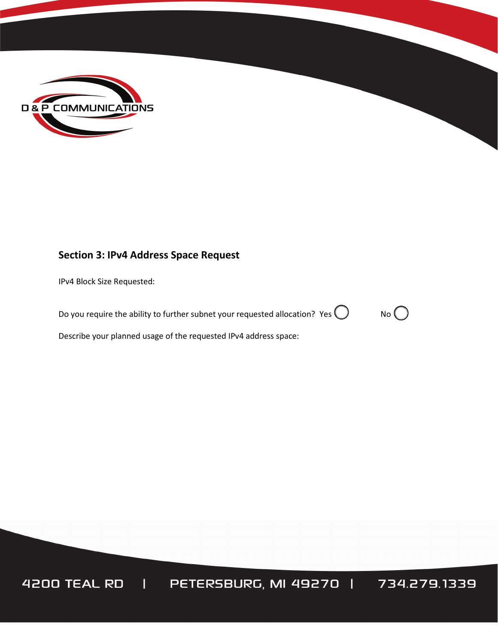

# **Section 3: IPv4 Address Space Request**

IPv4 Block Size Requested:

Do you require the ability to further subnet your requested allocation? Yes  $\bigcirc$  No  $\bigcirc$ 

Describe your planned usage of the requested IPv4 address space:

4200 TEAL RD | PETERSBURG, MI 49270 | 734.279.1339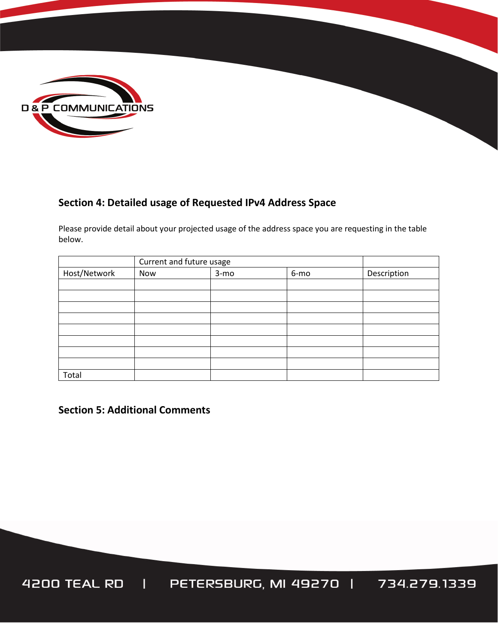

# **Section 4: Detailed usage of Requested IPv4 Address Space**

Please provide detail about your projected usage of the address space you are requesting in the table below.

|              | Current and future usage |        |      |             |
|--------------|--------------------------|--------|------|-------------|
| Host/Network | Now                      | $3-mo$ | 6-mo | Description |
|              |                          |        |      |             |
|              |                          |        |      |             |
|              |                          |        |      |             |
|              |                          |        |      |             |
|              |                          |        |      |             |
|              |                          |        |      |             |
|              |                          |        |      |             |
|              |                          |        |      |             |
| Total        |                          |        |      |             |

**Section 5: Additional Comments**

4200 TEAL RD | PETERSBURG, MI 49270 | 734.279.1339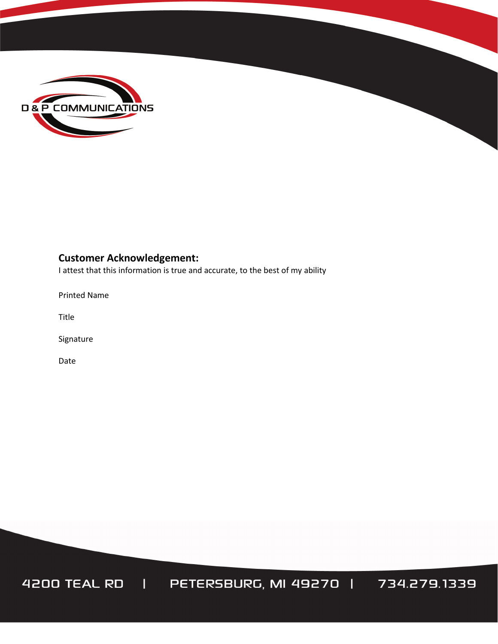

# **Customer Acknowledgement:**

I attest that this information is true and accurate, to the best of my ability

Printed Name

Title

Signature

Date

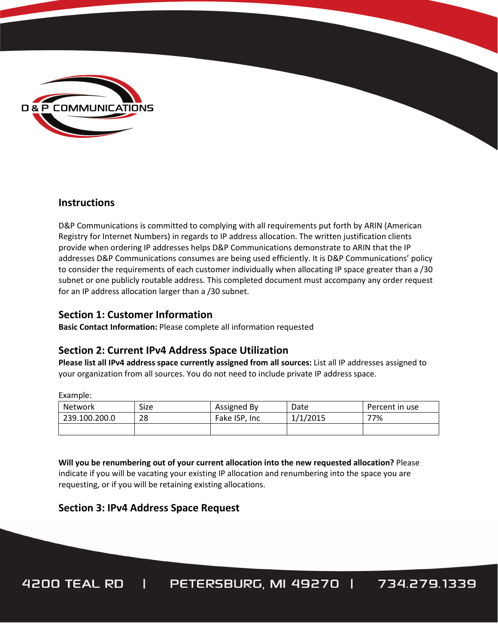

#### **Instructions**

D&P Communications is committed to complying with all requirements put forth by ARIN (American Registry for Internet Numbers) in regards to IP address allocation. The written justification clients provide when ordering IP addresses helps D&P Communications demonstrate to ARIN that the IP addresses D&P Communications consumes are being used efficiently. It is D&P Communications' policy to consider the requirements of each customer individually when allocating IP space greater than a /30 subnet or one publicly routable address. This completed document must accompany any order request for an IP address allocation larger than a /30 subnet.

#### **Section 1: Customer Information**

**Basic Contact Information:** Please complete all information requested

# **Section 2: Current IPv4 Address Space Utilization**

**Please list all IPv4 address space currently assigned from all sources:** List all IP addresses assigned to your organization from all sources. You do not need to include private IP address space.

Example:

| Network       | Size | Assigned By   | Date     | Percent in use |
|---------------|------|---------------|----------|----------------|
| 239.100.200.0 | 28   | Fake ISP. Inc | 1/1/2015 | 77%            |
|               |      |               |          |                |

**Will you be renumbering out of your current allocation into the new requested allocation?** Please indicate if you will be vacating your existing IP allocation and renumbering into the space you are requesting, or if you will be retaining existing allocations.

# **Section 3: IPv4 Address Space Request**

PETERSBURG, MI 49270 | 734.279.1339 4200 TEAL RD |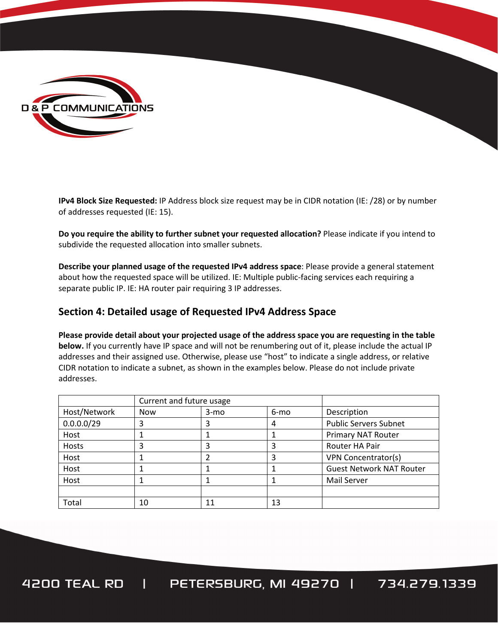

**IPv4 Block Size Requested:** IP Address block size request may be in CIDR notation (IE: /28) or by number of addresses requested (IE: 15).

**Do you require the ability to further subnet your requested allocation?** Please indicate if you intend to subdivide the requested allocation into smaller subnets.

**Describe your planned usage of the requested IPv4 address space**: Please provide a general statement about how the requested space will be utilized. IE: Multiple public-facing services each requiring a separate public IP. IE: HA router pair requiring 3 IP addresses.

### **Section 4: Detailed usage of Requested IPv4 Address Space**

**Please provide detail about your projected usage of the address space you are requesting in the table below.** If you currently have IP space and will not be renumbering out of it, please include the actual IP addresses and their assigned use. Otherwise, please use "host" to indicate a single address, or relative CIDR notation to indicate a subnet, as shown in the examples below. Please do not include private addresses.

|              | Current and future usage |        |      |                                 |
|--------------|--------------------------|--------|------|---------------------------------|
| Host/Network | <b>Now</b>               | $3-mo$ | 6-mo | Description                     |
| 0.0.0.0/29   | 3                        |        | 4    | <b>Public Servers Subnet</b>    |
| Host         |                          |        |      | Primary NAT Router              |
| Hosts        | 3                        | 3      | 3    | Router HA Pair                  |
| Host         |                          |        |      | <b>VPN Concentrator(s)</b>      |
| Host         |                          |        |      | <b>Guest Network NAT Router</b> |
| Host         |                          |        |      | Mail Server                     |
|              |                          |        |      |                                 |
| Total        | 10                       | 11     | 13   |                                 |

PETERSBURG, MI 49270 | 734.279.1339  $\mathbf{I}$ 4200 TEAL RD